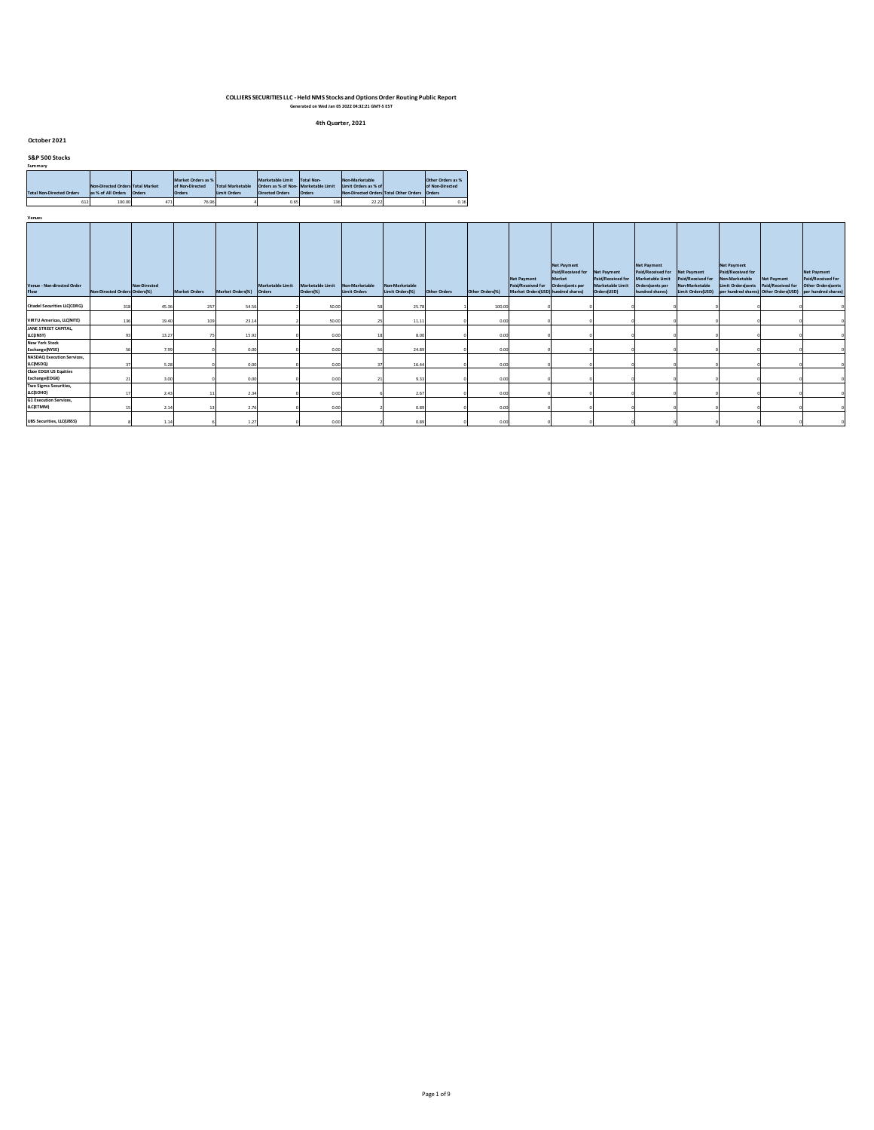**4th Quarter, 2021**

#### **October 2021**

| <b>S&amp;P 500 Stocks</b> |  |
|---------------------------|--|
| Summarv                   |  |

| summary                          |                                                        |        |                                  |                                         |                                                                |                   |                      |                                               |                   |
|----------------------------------|--------------------------------------------------------|--------|----------------------------------|-----------------------------------------|----------------------------------------------------------------|-------------------|----------------------|-----------------------------------------------|-------------------|
|                                  |                                                        |        | Market Orders as %               |                                         | Marketable Limit                                               | <b>Total Non-</b> | Non-Marketable       |                                               | Other Orders as % |
| <b>Total Non-Directed Orders</b> | Non-Directed Orders Total Market<br>as % of All Orders | Orders | of Non-Directed<br><b>Orders</b> | <b>Total Marketable</b><br>Limit Orders | Orders as % of Non- Marketable Limit<br><b>Directed Orders</b> | Orders            | limit Orders as % of | Non-Directed Orders Total Other Orders Orders | of Non-Directed   |
|                                  |                                                        |        |                                  |                                         |                                                                |                   |                      |                                               |                   |
| 612                              | 100.00                                                 | 471    | 76.96                            |                                         | 0.65                                                           | 136               | 22.22                |                                               | 0.16              |

| Venue - Non-directed Order<br>Flow             | Non-Directed Orders Orders(%) | Non-Directed | <b>Market Orders</b> | Market Orders(%) Orders | Marketable Limit | Marketable Limit<br>Orders(%) | Non-Marketable<br>Limit Orders | Non-Marketable<br>Limit Orders(%) | Other Orders | Other Orders(%) | <b>Net Payment</b><br>Paid/Received for Orders(cents per<br>Market Orders(USD) hundred shares) | <b>Net Payment</b><br>Paid/Received for Net Payment<br>Market | Paid/Received for<br>Marketable Limit<br>Orders(USD) | <b>Net Payment</b><br>Paid/Received for Net Payment<br>Marketable Limit<br>Orders(cents per<br>hundred shares) | Paid/Received for<br>Non-Marketable | <b>Net Payment</b><br>Paid/Received for<br>Non-Marketable<br>Limit Orders(cents Paid/Received for Other Orders(cents<br>Limit Orders(USD) per hundred shares) Other Orders(USD) per hundred shares) | Net Payment | <b>Net Payment</b><br>Paid/Received for |
|------------------------------------------------|-------------------------------|--------------|----------------------|-------------------------|------------------|-------------------------------|--------------------------------|-----------------------------------|--------------|-----------------|------------------------------------------------------------------------------------------------|---------------------------------------------------------------|------------------------------------------------------|----------------------------------------------------------------------------------------------------------------|-------------------------------------|-----------------------------------------------------------------------------------------------------------------------------------------------------------------------------------------------------|-------------|-----------------------------------------|
| <b>Citadel Securities LLC(CDRG)</b>            | 318                           | 45.36        | 257                  | 54.56                   |                  | 50.00                         |                                | 25.78                             |              | 100.00          |                                                                                                |                                                               |                                                      |                                                                                                                |                                     |                                                                                                                                                                                                     |             |                                         |
| <b>VIRTU Americas, LLC(NITE)</b>               |                               | 19.40        | 109                  | 23.14                   |                  | 50.00                         |                                | 11.11                             |              | 0.00            |                                                                                                |                                                               |                                                      |                                                                                                                |                                     |                                                                                                                                                                                                     |             |                                         |
| JANE STREET CAPITAL,<br>LLC(JNST)              |                               | 13.27        |                      | 15.92                   |                  | 0.00                          |                                | 8.00                              |              | 0.00            |                                                                                                |                                                               |                                                      |                                                                                                                |                                     |                                                                                                                                                                                                     |             |                                         |
| <b>New York Stock</b><br>Exchange(NYSE)        |                               | 7.99         |                      | 0.00                    |                  | 0.00                          |                                | 24.89                             |              | 0.00            |                                                                                                |                                                               |                                                      |                                                                                                                |                                     |                                                                                                                                                                                                     |             |                                         |
| <b>NASDAQ Execution Services,</b><br>LLC(NSDQ) |                               | 5.28         |                      | 0.00                    |                  | 0.00                          |                                | 16.44                             |              | 0.00            |                                                                                                |                                                               |                                                      |                                                                                                                |                                     |                                                                                                                                                                                                     |             |                                         |
| <b>Choe EDGX US Equities</b><br>Exchange(EDGX) |                               | 3.00         |                      | 0.00                    |                  | 0.00                          |                                | 9.33                              |              | 0.00            |                                                                                                |                                                               |                                                      |                                                                                                                |                                     |                                                                                                                                                                                                     |             |                                         |
| Two Sigma Securities,<br>LLC(SOHO)             |                               | 2.43         |                      | 2.34                    |                  | 0.00                          |                                | 2.67                              |              | 0.00            |                                                                                                |                                                               |                                                      |                                                                                                                |                                     |                                                                                                                                                                                                     |             |                                         |
| <b>G1 Execution Services,</b><br>LLC(ETMM)     |                               | 2.14         |                      | 2.76                    |                  | 0.00                          |                                | 0.89                              |              | 0.00            |                                                                                                |                                                               |                                                      |                                                                                                                |                                     |                                                                                                                                                                                                     |             |                                         |
| <b>UBS Securities, LLC(UBSS)</b>               |                               | 1.14         |                      | 1.27                    |                  | 0.00                          |                                | 0.89                              |              | 0.00            |                                                                                                |                                                               |                                                      |                                                                                                                |                                     |                                                                                                                                                                                                     |             |                                         |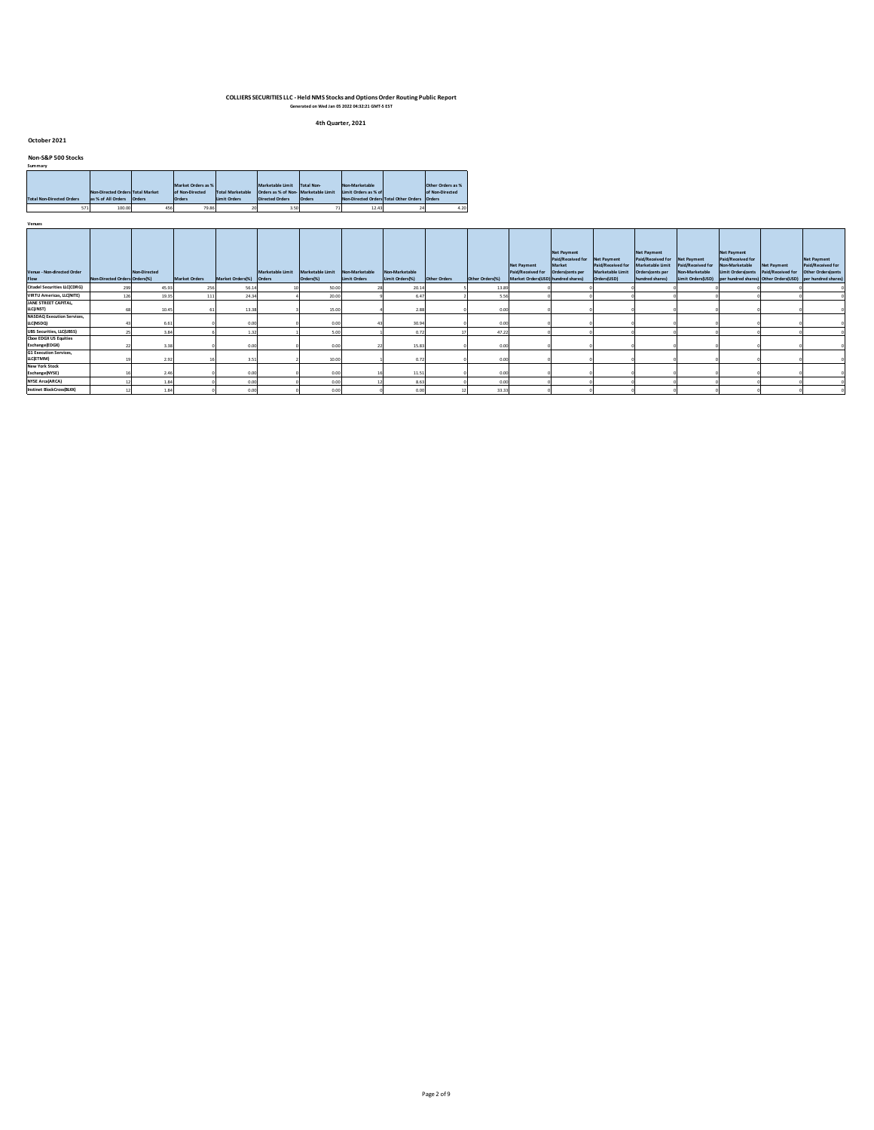**4th Quarter, 2021**

#### **October 2021**

**Venues**

### **Non-S&P 500 Stocks Summary**

| эчшна у                          |                                  |               |                    |                         |                                     |                   |                      |                                               |                   |
|----------------------------------|----------------------------------|---------------|--------------------|-------------------------|-------------------------------------|-------------------|----------------------|-----------------------------------------------|-------------------|
|                                  |                                  |               |                    |                         |                                     |                   |                      |                                               |                   |
|                                  |                                  |               | Market Orders as % |                         | Marketable Limit                    | <b>Total Non-</b> | Non-Marketable       |                                               | Other Orders as % |
|                                  | Non-Directed Orders Total Market |               | of Non-Directed    | <b>Total Marketable</b> | Orders as % of Non-Marketable Limit |                   | Limit Orders as % of |                                               | of Non-Directed   |
| <b>Total Non-Directed Orders</b> | as % of All Orders               | <b>Orders</b> | <b>Orders</b>      | <b>Limit Orders</b>     | <b>Directed Orders</b>              | Orders            |                      | Non-Directed Orders Total Other Orders Orders |                   |
| 571                              | 100.00                           | 45€           | 79.86              |                         | 3.50                                |                   | 12.43                |                                               | 4.20              |

| Venue - Non-directed Order<br>Flow             | Non-Directed Orders Orders(%) | Non-Directed | <b>Market Orders</b> | Market Orders(%) Orders | Marketable Limit | Marketable Limit<br>Orders(%) | Non-Marketable<br>Limit Orders | Non-Marketable<br>Limit Orders(%) | Other Orders | Other Orders(%) | <b>Net Payment</b><br>Paid/Received for Orders(cents per<br>Market Orders(USD) hundred shares) | Net Payment<br>Paid/Received for Net Payment<br>Market | Paid/Received for<br>Marketable Limit<br>Orders(USD) | <b>Net Payment</b><br>Paid/Received for<br>Marketable Limit<br>Orders(cents per<br>hundred shares) | Net Payment<br>Paid/Received for<br>Non-Marketable<br>Limit Orders(USD) | <b>Net Payment</b><br>Paid/Received for<br>Non-Marketable<br>Limit Orders(cents Paid/Received for | <b>Net Payment</b> | Net Payment<br>Paid/Received for<br>Other Orders(cents<br>per hundred shares) Other Orders(USD) per hundred shares) |
|------------------------------------------------|-------------------------------|--------------|----------------------|-------------------------|------------------|-------------------------------|--------------------------------|-----------------------------------|--------------|-----------------|------------------------------------------------------------------------------------------------|--------------------------------------------------------|------------------------------------------------------|----------------------------------------------------------------------------------------------------|-------------------------------------------------------------------------|---------------------------------------------------------------------------------------------------|--------------------|---------------------------------------------------------------------------------------------------------------------|
| <b>Citadel Securities LLC(CDRG)</b>            |                               | 45.93        |                      | 56.1                    |                  | 50.00                         |                                | 20.14                             |              | 13.89           |                                                                                                |                                                        |                                                      |                                                                                                    |                                                                         |                                                                                                   |                    |                                                                                                                     |
| <b>VIRTU Americas, LLC(NITE)</b>               |                               | 19.35        |                      | 24.3                    |                  | 20.00                         |                                | 6.47                              |              |                 |                                                                                                |                                                        |                                                      |                                                                                                    |                                                                         |                                                                                                   |                    |                                                                                                                     |
| JANE STREET CAPITAL,<br>LLC(INST)              |                               | 10.45        |                      | 13.3                    |                  | 15.00                         |                                | 2.88                              |              | n nn            |                                                                                                |                                                        |                                                      |                                                                                                    |                                                                         |                                                                                                   |                    |                                                                                                                     |
| <b>NASDAQ Execution Services,</b><br>LLC(NSDQ) |                               | 6.61         |                      | 0.00                    |                  | 0.00                          |                                | 30.94                             |              |                 |                                                                                                |                                                        |                                                      |                                                                                                    |                                                                         |                                                                                                   |                    |                                                                                                                     |
| <b>UBS Securities, LLC(UBSS)</b>               |                               | 3.84         |                      |                         |                  | 5.00                          |                                | 0.72                              |              | 47.22           |                                                                                                |                                                        |                                                      |                                                                                                    |                                                                         |                                                                                                   |                    |                                                                                                                     |
| <b>Choe EDGX US Equities</b><br>Exchange(EDGX) |                               |              |                      | 0.00                    |                  | 0.00                          |                                | 15.83                             |              | 0.00            |                                                                                                |                                                        |                                                      |                                                                                                    |                                                                         |                                                                                                   |                    |                                                                                                                     |
| <b>G1 Execution Services,</b><br>LLC(ETMM)     |                               | 2.92         |                      | 3.5                     |                  | 10.00                         |                                | 0.72                              |              | 0.00            |                                                                                                |                                                        |                                                      |                                                                                                    |                                                                         |                                                                                                   |                    |                                                                                                                     |
| <b>New York Stock</b><br>Exchange(NYSE)        |                               | 2.40         |                      | 0.00                    |                  | 0.00                          |                                | 11.51                             |              |                 |                                                                                                |                                                        |                                                      |                                                                                                    |                                                                         |                                                                                                   |                    |                                                                                                                     |
| <b>NYSE Arca(ARCA)</b>                         |                               |              |                      | 0.01                    |                  | 0.00                          |                                | 8.63                              |              |                 |                                                                                                |                                                        |                                                      |                                                                                                    |                                                                         |                                                                                                   |                    |                                                                                                                     |
| Instinet BlockCross(BLKX)                      |                               |              |                      | 0.00                    |                  | 0.00                          |                                | 0.00                              |              | 33.33           |                                                                                                |                                                        |                                                      |                                                                                                    |                                                                         |                                                                                                   |                    |                                                                                                                     |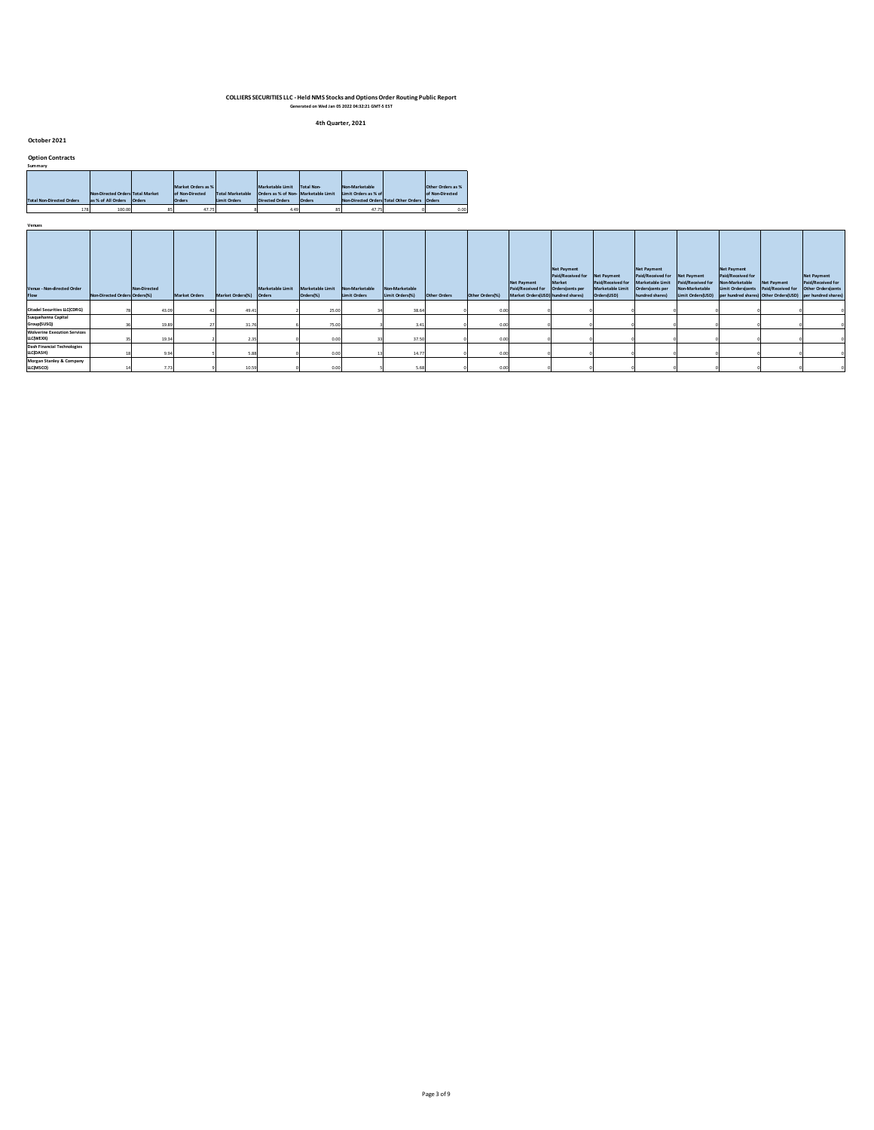**4th Quarter, 2021**

**October 2021**

| <b>Option Contracts</b><br>Summary |                                                        |        |                                                 |                                                |                                                                                    |                             |                                                                                  |                                                |
|------------------------------------|--------------------------------------------------------|--------|-------------------------------------------------|------------------------------------------------|------------------------------------------------------------------------------------|-----------------------------|----------------------------------------------------------------------------------|------------------------------------------------|
| <b>Total Non-Directed Orders</b>   | Non-Directed Orders Total Market<br>as % of All Orders | Orders | Market Orders as %<br>of Non-Directed<br>Orders | <b>Total Marketable</b><br><b>Limit Orders</b> | Marketable Limit<br>Orders as % of Non- Marketable Limit<br><b>Directed Orders</b> | <b>Total Non-</b><br>Orders | Non-Marketable<br>Limit Orders as % of<br>Non-Directed Orders Total Other Orders | Other Orders as %<br>of Non-Directed<br>Orders |
| 178                                | 100.00                                                 | 85     | 47.75                                           |                                                | 4.49                                                                               | 85                          | 47.75                                                                            | 0.00                                           |

| Venues                                           |                               |              |                      |                         |                  |                               |                                |                                   |              |                 |                                                                                                |                                            |                                                                     |                                                                                                                |                                     |                                                                                                   |                    |                                                                                                                                              |
|--------------------------------------------------|-------------------------------|--------------|----------------------|-------------------------|------------------|-------------------------------|--------------------------------|-----------------------------------|--------------|-----------------|------------------------------------------------------------------------------------------------|--------------------------------------------|---------------------------------------------------------------------|----------------------------------------------------------------------------------------------------------------|-------------------------------------|---------------------------------------------------------------------------------------------------|--------------------|----------------------------------------------------------------------------------------------------------------------------------------------|
| Venue - Non-directed Order<br>Flow               | Non-Directed Orders Orders(%) | Non-Directed | <b>Market Orders</b> | Market Orders(%) Orders | Marketable Limit | Marketable Limit<br>Orders(%) | Non-Marketable<br>Limit Orders | Non-Marketable<br>Limit Orders(%) | Other Orders | Other Orders(%) | <b>Net Payment</b><br>Paid/Received for Orders(cents per<br>Market Orders(USD) hundred shares) | Net Payment<br>Paid/Received for<br>Market | Net Payment<br>Paid/Received for<br>Marketable Limit<br>Orders(USD) | <b>Net Payment</b><br>Paid/Received for Net Payment<br>Marketable Limit<br>Orders(cents per<br>hundred shares) | Paid/Received for<br>Non-Marketable | <b>Net Payment</b><br>Paid/Received for<br>Non-Marketable<br>Limit Orders(cents Paid/Received for | <b>Net Payment</b> | <b>Net Payment</b><br>Paid/Received for<br>Other Orders(cents<br>Limit Orders(USD) per hundred shares) Other Orders(USD) per hundred shares) |
| <b>Citadel Securities LLC(CDRG)</b>              |                               | 43.09        |                      | 49.4                    |                  | 25.00                         |                                | 38.64                             |              | 0.00            |                                                                                                |                                            |                                                                     |                                                                                                                |                                     |                                                                                                   |                    |                                                                                                                                              |
| Susquehanna Capital<br>Group(SUSQ)               |                               | 19.89        |                      | 31.7                    |                  | 75.00                         |                                | 3.41                              |              | 0.00            |                                                                                                |                                            |                                                                     |                                                                                                                |                                     |                                                                                                   |                    |                                                                                                                                              |
| <b>Wolverine Execution Services</b><br>LLC(WEXX) |                               | 19.34        |                      | 2.3'                    |                  | 0.00                          |                                | 37.50                             |              | 0.00            |                                                                                                |                                            |                                                                     |                                                                                                                |                                     |                                                                                                   |                    |                                                                                                                                              |
| <b>Dash Financial Technologies</b><br>LLC(DASH)  |                               | 9.94         |                      | 5.8                     |                  | 0.00                          |                                | 14.77                             |              | 0.00            |                                                                                                |                                            |                                                                     |                                                                                                                |                                     |                                                                                                   |                    |                                                                                                                                              |
| Morgan Stanley & Company<br>LLC(MSCO)            |                               | 773          |                      | 10.5!                   |                  | 0.00                          |                                | 5.68                              |              | 0.00            |                                                                                                |                                            |                                                                     |                                                                                                                |                                     |                                                                                                   |                    |                                                                                                                                              |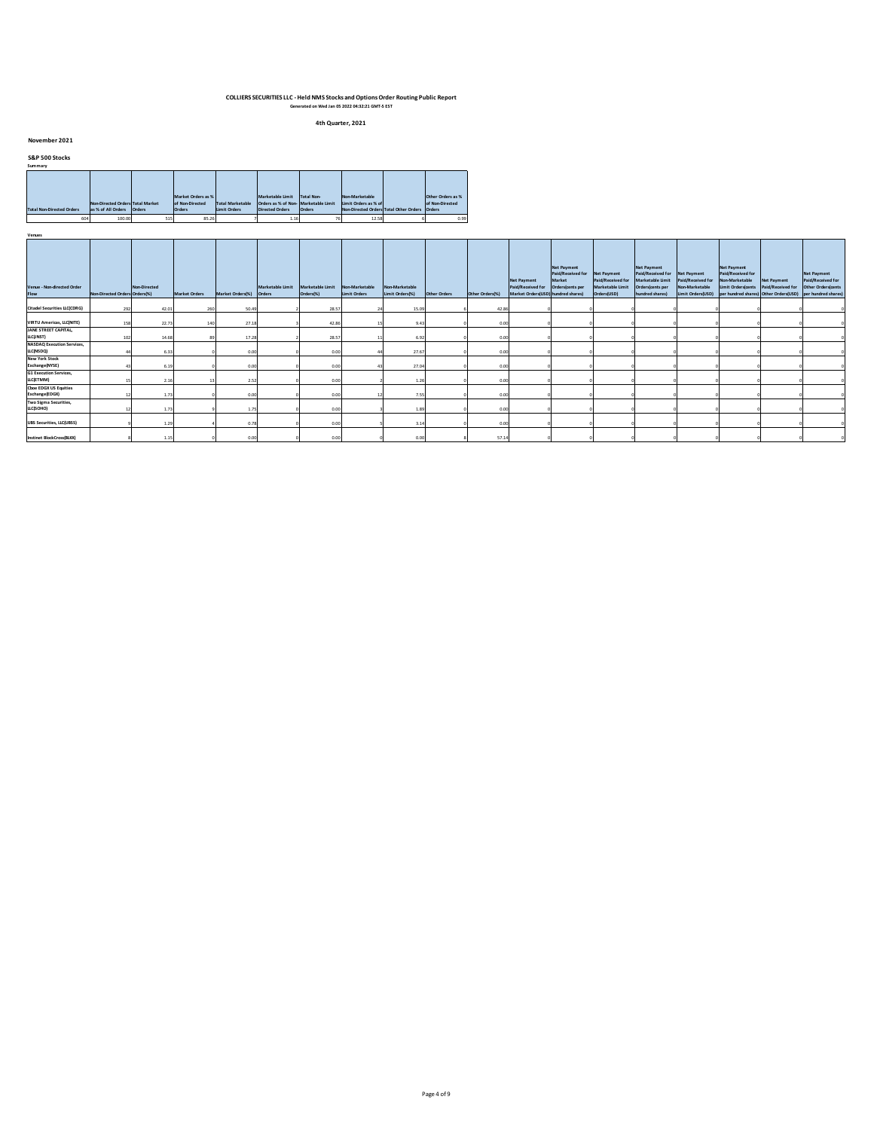**4th Quarter, 2021**

#### **November 2021**

### **S&P 500 Stocks**

| Summary                          |                                  |        |                    |                         |                                     |                   |                      |                                               |                   |
|----------------------------------|----------------------------------|--------|--------------------|-------------------------|-------------------------------------|-------------------|----------------------|-----------------------------------------------|-------------------|
|                                  |                                  |        |                    |                         |                                     |                   |                      |                                               |                   |
|                                  |                                  |        |                    |                         |                                     |                   |                      |                                               |                   |
|                                  |                                  |        |                    |                         |                                     |                   |                      |                                               |                   |
|                                  |                                  |        | Market Orders as % |                         | Marketable Limit                    | <b>Total Non-</b> | Non-Marketable       |                                               | Other Orders as % |
|                                  | Non-Directed Orders Total Market |        | of Non-Directed    | <b>Total Marketable</b> | Orders as % of Non-Marketable Limit |                   | Limit Orders as % of |                                               | of Non-Directed   |
| <b>Total Non-Directed Orders</b> | as % of All Orders               | Orders | <b>Orders</b>      | Limit Orders            | <b>Directed Orders</b>              | Orders            |                      | Non-Directed Orders Total Other Orders Orders |                   |
| 604                              | 100.00                           | 515    | 85.26              |                         | 1.16                                |                   | 12.58                |                                               | 0.99              |

| Venue - Non-directed Order<br>Flow             | Non-Directed Orders Orders(%) | Non-Directed     | <b>Market Orders</b> | Market Orders(%) Orders | Marketable Limit Marketable Limit | Orders(%) | Non-Marketable<br>Limit Orders | Non-Marketable<br>Limit Orders(%) | Other Orders | Other Orders(%) | <b>Net Payment</b><br>Paid/Received for Orders(cents per<br>Market Orders(USD) hundred shares) | <b>Net Payment</b><br>Paid/Received for<br>Market | Net Payment<br>Paid/Received for<br>Marketable Limit<br>Orders(USD) | <b>Net Payment</b><br>Paid/Received for Net Payment<br>Marketable Limit<br>Orders(cents per<br>hundred shares) | Paid/Received for<br>Non-Marketable<br>Limit Orders(USD) | <b>Net Payment</b><br>Paid/Received for<br>Non-Marketable<br>Limit Orders(cents Paid/Received for Other Orders(cents<br>per hundred shares) Other Orders(USD) per hundred shares) | <b>Net Payment</b> | <b>Net Payment</b><br>Paid/Received for |
|------------------------------------------------|-------------------------------|------------------|----------------------|-------------------------|-----------------------------------|-----------|--------------------------------|-----------------------------------|--------------|-----------------|------------------------------------------------------------------------------------------------|---------------------------------------------------|---------------------------------------------------------------------|----------------------------------------------------------------------------------------------------------------|----------------------------------------------------------|-----------------------------------------------------------------------------------------------------------------------------------------------------------------------------------|--------------------|-----------------------------------------|
| <b>Citadel Securities LLC(CDRG)</b>            | 292                           | 42.01            | 260                  | 50.4                    |                                   | 28.57     |                                | 15.09                             |              | 42.86           |                                                                                                |                                                   |                                                                     |                                                                                                                |                                                          |                                                                                                                                                                                   |                    |                                         |
| <b>VIRTU Americas, LLC(NITE)</b>               |                               | 22.73            |                      | 27.1                    |                                   | 42.86     |                                | 9.43                              |              | 0.00            |                                                                                                |                                                   |                                                                     |                                                                                                                |                                                          |                                                                                                                                                                                   |                    |                                         |
| JANE STREET CAPITAL,<br>LLC(INST)              |                               | 14.68            |                      | 17.28                   |                                   | 28.57     |                                | 6.92                              |              | 0.00            |                                                                                                |                                                   |                                                                     |                                                                                                                |                                                          |                                                                                                                                                                                   |                    |                                         |
| <b>NASDAQ Execution Services,</b><br>LLC(NSDQ) |                               | 6.33             |                      | 0.00                    |                                   | 0.00      |                                | 27.67                             |              | 0.00            |                                                                                                |                                                   |                                                                     |                                                                                                                |                                                          |                                                                                                                                                                                   |                    |                                         |
| <b>New York Stock</b><br>Exchange(NYSE)        |                               | 6.19             |                      | 0.00                    |                                   | 0.00      |                                | 27.04                             |              | 0.00            |                                                                                                |                                                   |                                                                     |                                                                                                                |                                                          |                                                                                                                                                                                   |                    |                                         |
| <b>G1 Execution Services,</b><br>LLC(ETMM)     |                               | 2.10             |                      | 2.52                    |                                   | 0.00      |                                | 1.26                              |              | 0.00            |                                                                                                |                                                   |                                                                     |                                                                                                                |                                                          |                                                                                                                                                                                   |                    |                                         |
| <b>Cboe EDGX US Equities</b><br>Exchange(EDGX) |                               | 1.73             |                      | 0.00                    |                                   | 0.00      |                                | 7.55                              |              | 0.00            |                                                                                                |                                                   |                                                                     |                                                                                                                |                                                          |                                                                                                                                                                                   |                    |                                         |
| Two Sigma Securities,<br>LLC(SOHO)             |                               | 1.7 <sub>2</sub> |                      | 1.75                    |                                   | 0.00      |                                | 1.89                              |              | 0.00            |                                                                                                |                                                   |                                                                     |                                                                                                                |                                                          |                                                                                                                                                                                   |                    |                                         |
| <b>UBS Securities, LLC(UBSS)</b>               |                               | 1.29             |                      | 0.71                    |                                   | 0.00      |                                | 3.14                              |              | 0.00            |                                                                                                |                                                   |                                                                     |                                                                                                                |                                                          |                                                                                                                                                                                   |                    |                                         |
| Instinet BlockCross(BLKX)                      |                               | 1.15             |                      | 0.00                    |                                   | 0.00      |                                | 0.00                              |              | 57.14           |                                                                                                |                                                   |                                                                     |                                                                                                                |                                                          |                                                                                                                                                                                   |                    |                                         |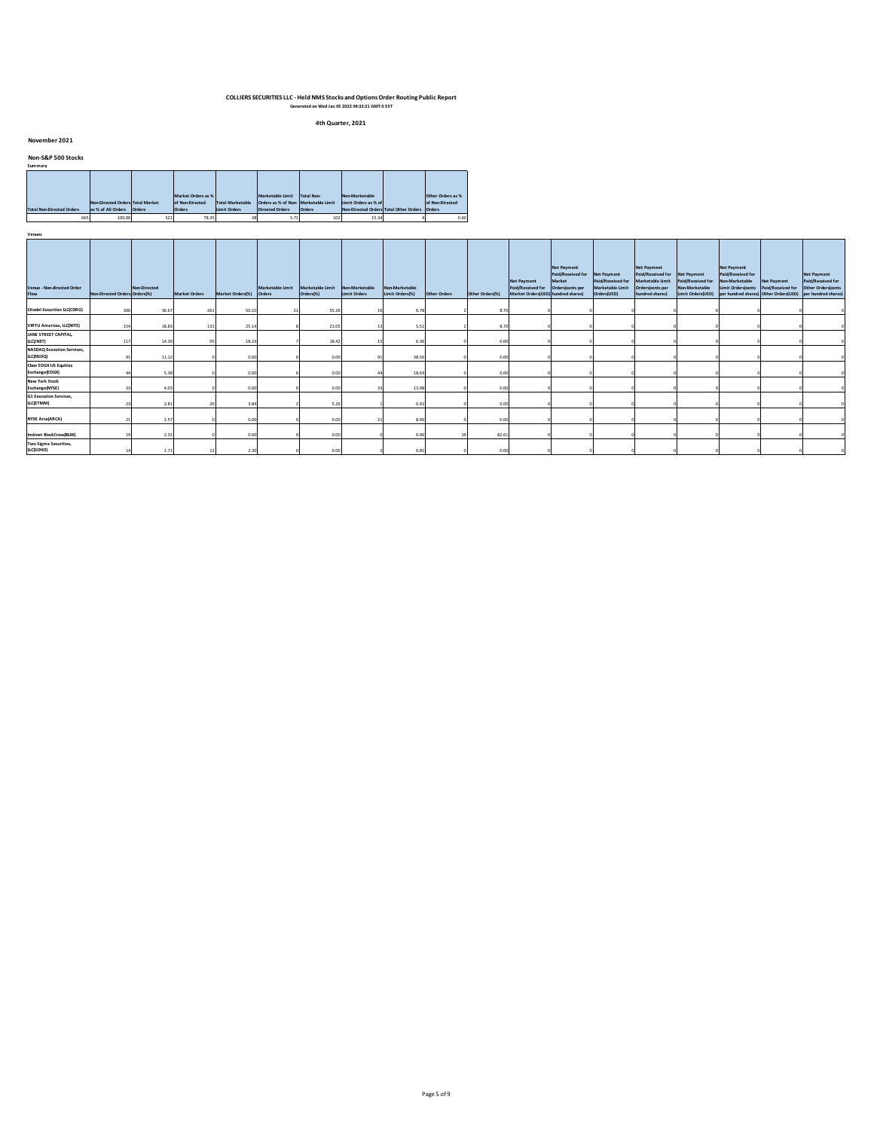**4th Quarter, 2021**

#### **November 2021**

#### **Non-S&P 500 Stocks**

| Summary                          |                                  |        |                    |                         |                                     |                   |                                        |                   |
|----------------------------------|----------------------------------|--------|--------------------|-------------------------|-------------------------------------|-------------------|----------------------------------------|-------------------|
|                                  |                                  |        |                    |                         |                                     |                   |                                        |                   |
|                                  |                                  |        |                    |                         |                                     |                   |                                        |                   |
|                                  |                                  |        |                    |                         |                                     |                   |                                        |                   |
|                                  |                                  |        | Market Orders as % |                         | Marketable Limit                    | <b>Total Non-</b> | Non-Marketable                         | Other Orders as % |
|                                  | Non-Directed Orders Total Market |        | of Non-Directed    | <b>Total Marketable</b> | Orders as % of Non-Marketable Limit |                   | Limit Orders as % of                   | of Non-Directed   |
| <b>Total Non-Directed Orders</b> | as % of All Orders               | Orders | <b>Orders</b>      | Limit Orders            | <b>Directed Orders</b>              | Orders            | Non-Directed Orders Total Other Orders | Orders            |
| 665                              | 100.00                           | 521    | 78.35              |                         | 5.71                                | 102               | 15.34                                  | 0.60              |

| Venues                                         |                               |              |                      |                         |                  |                               |                                |                                   |              |                 |                                                                               |                                                                                   |                                                      |                                                                                                                |                                                          |                                                                                                                                             |                                         |                                                               |
|------------------------------------------------|-------------------------------|--------------|----------------------|-------------------------|------------------|-------------------------------|--------------------------------|-----------------------------------|--------------|-----------------|-------------------------------------------------------------------------------|-----------------------------------------------------------------------------------|------------------------------------------------------|----------------------------------------------------------------------------------------------------------------|----------------------------------------------------------|---------------------------------------------------------------------------------------------------------------------------------------------|-----------------------------------------|---------------------------------------------------------------|
| Venue - Non-directed Order<br>Flow             | Non-Directed Orders Orders(%) | Non-Directed | <b>Market Orders</b> | Market Orders(%) Orders | Marketable Limit | Marketable Limit<br>Orders(%) | Non-Marketable<br>Limit Orders | Non-Marketable<br>Limit Orders(%) | Other Orders | Other Orders(%) | <b>Net Payment</b><br>Paid/Received for<br>Market Orders(USD) hundred shares) | <b>Net Payment</b><br>Paid/Received for Net Payment<br>Market<br>Orders(cents per | Paid/Received for<br>Marketable Limit<br>Orders(USD) | <b>Net Payment</b><br>Paid/Received for Net Payment<br>Marketable Limit<br>Orders(cents per<br>hundred shares) | Paid/Received for<br>Non-Marketable<br>Limit Orders(USD) | <b>Net Payment</b><br>Paid/Received for<br>Non-Marketable<br>Limit Orderskents<br>per hundred shares) Other Orders(USD) per hundred shares) | <b>Net Payment</b><br>Paid/Received for | <b>Net Payment</b><br>Paid/Received for<br>Other Orders(cents |
| <b>Citadel Securities LLC(CDRG)</b>            | 300                           | 36.67        | 261                  | 50.10                   |                  | 55.26                         |                                | 6.78                              |              | 8.70            |                                                                               |                                                                                   |                                                      |                                                                                                                |                                                          |                                                                                                                                             |                                         |                                                               |
| <b>VIRTU Americas, LLC(NITE)</b>               | 154                           | 18.83        | 131                  | 25.14                   |                  | 21.05                         |                                | 5.51                              |              | 8.70            |                                                                               |                                                                                   |                                                      |                                                                                                                |                                                          |                                                                                                                                             |                                         |                                                               |
| JANE STREET CAPITAL,<br>LLC(INST)              | 117                           | 14.30        |                      | 18.23                   |                  | 18.42                         |                                | 6.36                              |              | 0.00            |                                                                               |                                                                                   |                                                      |                                                                                                                |                                                          |                                                                                                                                             |                                         |                                                               |
| <b>NASDAQ Execution Services,</b><br>LLC(NSDQ) |                               | 11.12        |                      | 0.00                    |                  | 0.00                          |                                | 38.56                             |              | 0.00            |                                                                               |                                                                                   |                                                      |                                                                                                                |                                                          |                                                                                                                                             |                                         |                                                               |
| <b>Cboe EDGX US Equities</b><br>Exchange(EDGX) |                               | 5.38         |                      | 0.00                    |                  | 0.00                          |                                | 18.64                             |              | 0.00            |                                                                               |                                                                                   |                                                      |                                                                                                                |                                                          |                                                                                                                                             |                                         |                                                               |
| <b>New York Stock</b><br>Exchange(NYSE)        |                               | 4.01         |                      | 0.00                    |                  | 0.00                          |                                | 13.98                             |              | 0.00            |                                                                               |                                                                                   |                                                      |                                                                                                                |                                                          |                                                                                                                                             |                                         |                                                               |
| <b>G1 Execution Services</b> ,<br>LLC(ETMM)    |                               | 2.81         |                      | 3.84                    |                  | 5.26                          |                                | 0.42                              |              | 0.00            |                                                                               |                                                                                   |                                                      |                                                                                                                |                                                          |                                                                                                                                             |                                         |                                                               |
| <b>NYSE Arca(ARCA)</b>                         |                               | 2.57         |                      | 0.00                    |                  | 0.00                          |                                | 8.90                              |              | 0.00            |                                                                               |                                                                                   |                                                      |                                                                                                                |                                                          |                                                                                                                                             |                                         |                                                               |
| Instinet BlockCross(BLKX)                      |                               | 2.32         |                      | 0.00                    |                  | 0.00                          |                                | 0.00                              |              | 82.61           |                                                                               |                                                                                   |                                                      |                                                                                                                |                                                          |                                                                                                                                             |                                         |                                                               |
| Two Sigma Securities,<br>LLC(SOHO)             |                               | 1.71         | 12                   | 2.30                    |                  | 0.00                          |                                | 0.85                              |              | 0.00            |                                                                               |                                                                                   |                                                      |                                                                                                                |                                                          |                                                                                                                                             |                                         |                                                               |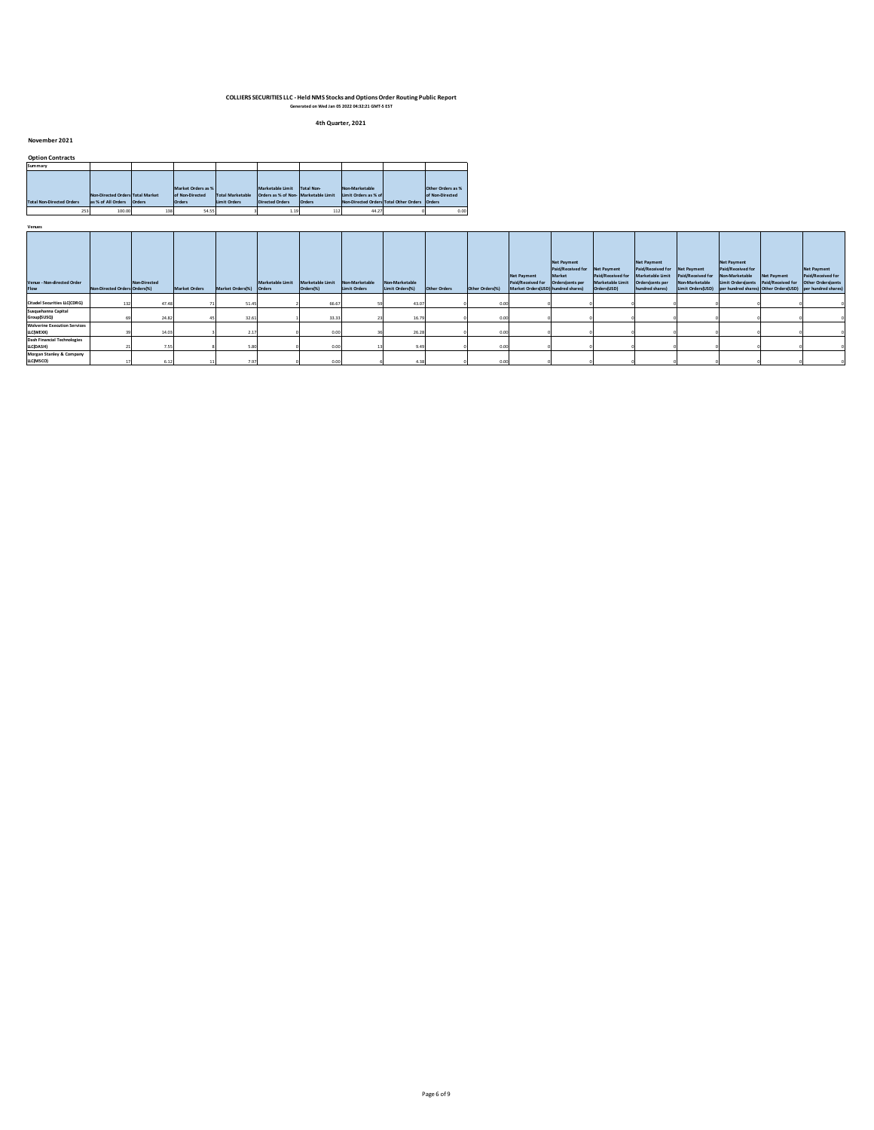**4th Quarter, 2021**

**November 2021**

| <b>Option Contracts</b>          |                                  |        |                    |                         |                                      |                   |                                               |                   |
|----------------------------------|----------------------------------|--------|--------------------|-------------------------|--------------------------------------|-------------------|-----------------------------------------------|-------------------|
| Summary                          |                                  |        |                    |                         |                                      |                   |                                               |                   |
|                                  |                                  |        |                    |                         |                                      |                   |                                               |                   |
|                                  |                                  |        |                    |                         |                                      |                   |                                               |                   |
|                                  |                                  |        | Market Orders as % |                         | Marketable Limit                     | <b>Total Non-</b> | Non-Marketable                                | Other Orders as % |
|                                  | Non-Directed Orders Total Market |        | of Non-Directed    | <b>Total Marketable</b> | Orders as % of Non- Marketable Limit |                   | Limit Orders as % of                          | of Non-Directed   |
| <b>Total Non-Directed Orders</b> | as % of All Orders               | Orders | <b>Orders</b>      | <b>Limit Orders</b>     | <b>Directed Orders</b>               | Orders            | Non-Directed Orders Total Other Orders Orders |                   |
| 253                              | 100.00                           | 138    | 54.55              |                         | 1.19                                 | 112               | 44.27                                         | 0.00              |

| Venue - Non-directed Order<br>Flow               | Non-Directed Orders Orders(%) | Non-Directed | <b>Market Orders</b> | Market Orders(%) Orders | Marketable Limit | Marketable Limit<br>Orders(%) | Non-Marketable<br>Limit Orders | Non-Marketable<br>Limit Orders(%) | Other Orders | Other Orders(%) | <b>Net Payment</b><br>Paid/Received for Orders(cents per<br>Market Orders(USD) hundred shares) | <b>Net Payment</b><br>Paid/Received for Net Payment<br>Market | Paid/Received for<br>Marketable Limit<br>Orders(USD) | <b>Net Payment</b><br>Paid/Received for Net Payment<br>Marketable Limit<br>Orders(cents per<br>hundred shares) | Paid/Received for<br>Non-Marketable<br>Limit Orders(USD) per hundred shares) Other Orders(USD) per hundred shares) | <b>Net Payment</b><br>Paid/Received for<br>Non-Marketable<br>Limit Orders(cents Paid/Received for | Net Payment | Net Payment<br>Paid/Received for<br>Other Orders(cents |
|--------------------------------------------------|-------------------------------|--------------|----------------------|-------------------------|------------------|-------------------------------|--------------------------------|-----------------------------------|--------------|-----------------|------------------------------------------------------------------------------------------------|---------------------------------------------------------------|------------------------------------------------------|----------------------------------------------------------------------------------------------------------------|--------------------------------------------------------------------------------------------------------------------|---------------------------------------------------------------------------------------------------|-------------|--------------------------------------------------------|
| <b>Citadel Securities LLC(CDRG)</b>              |                               | 47.48        |                      | 51.45                   |                  | 66.67                         |                                | 43.07                             |              |                 |                                                                                                |                                                               |                                                      |                                                                                                                |                                                                                                                    |                                                                                                   |             |                                                        |
| Susquehanna Capital<br>Group(SUSQ)               |                               | 24.82        |                      | 32.6                    |                  | 33.33                         |                                | 16.79                             |              |                 |                                                                                                |                                                               |                                                      |                                                                                                                |                                                                                                                    |                                                                                                   |             |                                                        |
| <b>Wolverine Execution Services</b><br>LLC(WEXX) |                               | 14.03        |                      | 2.1                     |                  | 0.00                          |                                | 26.28                             |              | 0.00            |                                                                                                |                                                               |                                                      |                                                                                                                |                                                                                                                    |                                                                                                   |             |                                                        |
| <b>Dash Financial Technologies</b><br>LLC(DASH)  |                               | 7.55         |                      |                         |                  | 0.00                          |                                | 9.49                              |              | 0.00            |                                                                                                |                                                               |                                                      |                                                                                                                |                                                                                                                    |                                                                                                   |             |                                                        |
| Morgan Stanley & Company<br>LLC(MSCO)            |                               | 6.12         |                      |                         |                  | 0.00                          |                                | 4.38                              |              | 0.00            |                                                                                                |                                                               |                                                      |                                                                                                                |                                                                                                                    |                                                                                                   |             |                                                        |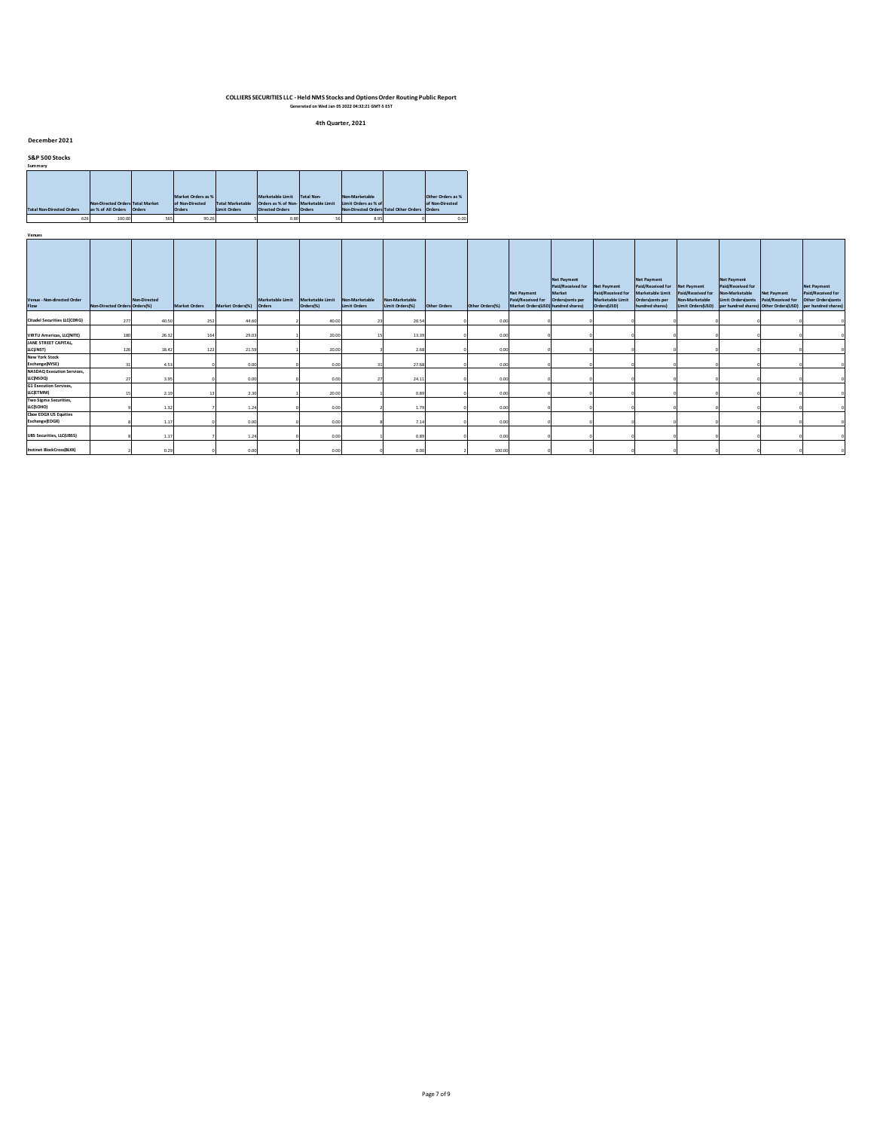**4th Quarter, 2021**

#### **December 2021**

**S&P 500 Stocks**

| Summary                          |                                  |        |                    |                         |                                     |                   |                                        |                   |
|----------------------------------|----------------------------------|--------|--------------------|-------------------------|-------------------------------------|-------------------|----------------------------------------|-------------------|
|                                  |                                  |        |                    |                         |                                     |                   |                                        |                   |
|                                  |                                  |        |                    |                         |                                     |                   |                                        |                   |
|                                  |                                  |        |                    |                         |                                     |                   |                                        |                   |
|                                  |                                  |        | Market Orders as % |                         | Marketable Limit                    | <b>Total Non-</b> | Non-Marketable                         | Other Orders as % |
|                                  | Non-Directed Orders Total Market |        | of Non-Directed    | <b>Total Marketable</b> | Orders as % of Non-Marketable Limit |                   | Limit Orders as % of                   | of Non-Directed   |
| <b>Total Non-Directed Orders</b> | as % of All Orders               | Orders | <b>Orders</b>      | <b>Limit Orders</b>     | <b>Directed Orders</b>              | Orders            | Non-Directed Orders Total Other Orders | Orders            |
| 626                              | 100.00                           | 565    | 90.26              |                         | 0.80                                |                   | 8.95                                   | 0.00              |

| Venue - Non-directed Order<br>Flow             | Non-Directed Orders Orders(%) | Non-Directed | <b>Market Orders</b> | Market Orders(%) Orders | Marketable Limit Marketable Limit Non-Marketable<br>Orders(%) | Limit Orders | Non-Marketable<br>Limit Orders(%) | Other Orders | Other Orders(%) | <b>Net Payment</b><br>Paid/Received for Orders(cents per<br>Market Orders(USD) hundred shares) | <b>Net Payment</b><br>Paid/Received for Net Payment<br>Market | Paid/Received for<br>Marketable Limit<br>Orders(USD) | <b>Net Payment</b><br>Paid/Received for Net Payment<br>Marketable Limit<br>Orders(cents per<br>hundred shares) | Paid/Received for Non-Marketable<br>Non-Marketable | <b>Net Payment</b><br>Paid/Received for<br>Limit Orders(cents Paid/Received for Other Orders(cents<br>Limit Orders(USD) per hundred shares) Other Orders(USD) per hundred shares) | Net Payment | <b>Net Payment</b><br>Paid/Received for |
|------------------------------------------------|-------------------------------|--------------|----------------------|-------------------------|---------------------------------------------------------------|--------------|-----------------------------------|--------------|-----------------|------------------------------------------------------------------------------------------------|---------------------------------------------------------------|------------------------------------------------------|----------------------------------------------------------------------------------------------------------------|----------------------------------------------------|-----------------------------------------------------------------------------------------------------------------------------------------------------------------------------------|-------------|-----------------------------------------|
| <b>Citadel Securities LLC(CDRG)</b>            | 277                           | 40.50        | 252                  | 44.60                   | 40.00                                                         |              | 20.54                             |              | 0.00            |                                                                                                |                                                               |                                                      |                                                                                                                |                                                    |                                                                                                                                                                                   |             |                                         |
| <b>VIRTU Americas, LLC(NITE)</b>               | 180                           | 26.32        |                      | 29.03                   | 20.00                                                         |              | 13.39                             |              | 0.00            |                                                                                                |                                                               |                                                      |                                                                                                                |                                                    |                                                                                                                                                                                   |             |                                         |
| JANE STREET CAPITAL,<br>LLC(INST)              | 126                           | 18.42        | 122                  | 21.59                   | 20.00                                                         |              | 2.68                              |              | 0.00            |                                                                                                |                                                               |                                                      |                                                                                                                |                                                    |                                                                                                                                                                                   |             |                                         |
| <b>New York Stock</b><br>Exchange(NYSE)        |                               | 4.53         |                      | 0.00                    | 0.00                                                          |              | 27.68                             |              | 0.00            |                                                                                                |                                                               |                                                      |                                                                                                                |                                                    |                                                                                                                                                                                   |             |                                         |
| <b>NASDAQ Execution Services,</b><br>LLC(NSDQ) |                               | 3.95         |                      | 0.00                    | 0.00                                                          |              | 24.11                             |              | 0.00            |                                                                                                |                                                               |                                                      |                                                                                                                |                                                    |                                                                                                                                                                                   |             |                                         |
| <b>G1 Execution Services</b> ,<br>LLC(ETMM)    |                               | 2.19         |                      | 2.30                    | 20.00                                                         |              | 0.89                              |              | 0.00            |                                                                                                |                                                               |                                                      |                                                                                                                |                                                    |                                                                                                                                                                                   |             |                                         |
| Two Sigma Securities,<br>LLC(SOHO)             |                               | 1.32         |                      | 1.24                    | 0.00                                                          |              | 1.79                              |              | 0.00            |                                                                                                |                                                               |                                                      |                                                                                                                |                                                    |                                                                                                                                                                                   |             |                                         |
| <b>Choe EDGX US Equities</b><br>Exchange(EDGX) |                               | 1.17         |                      | 0.00                    | 0.00                                                          |              | 7.14                              |              | 0.00            |                                                                                                |                                                               |                                                      |                                                                                                                |                                                    |                                                                                                                                                                                   |             |                                         |
| <b>UBS Securities, LLC(UBSS)</b>               |                               | 1.17         |                      | 1.24                    | 0.00                                                          |              | 0.89                              |              | 0.00            |                                                                                                |                                                               |                                                      |                                                                                                                |                                                    |                                                                                                                                                                                   |             |                                         |
| Instinet BlockCross(BLKX)                      |                               | 0.29         |                      | 0.00                    | 0.00                                                          |              | 0.00                              |              | 100.00          |                                                                                                |                                                               |                                                      |                                                                                                                |                                                    |                                                                                                                                                                                   |             |                                         |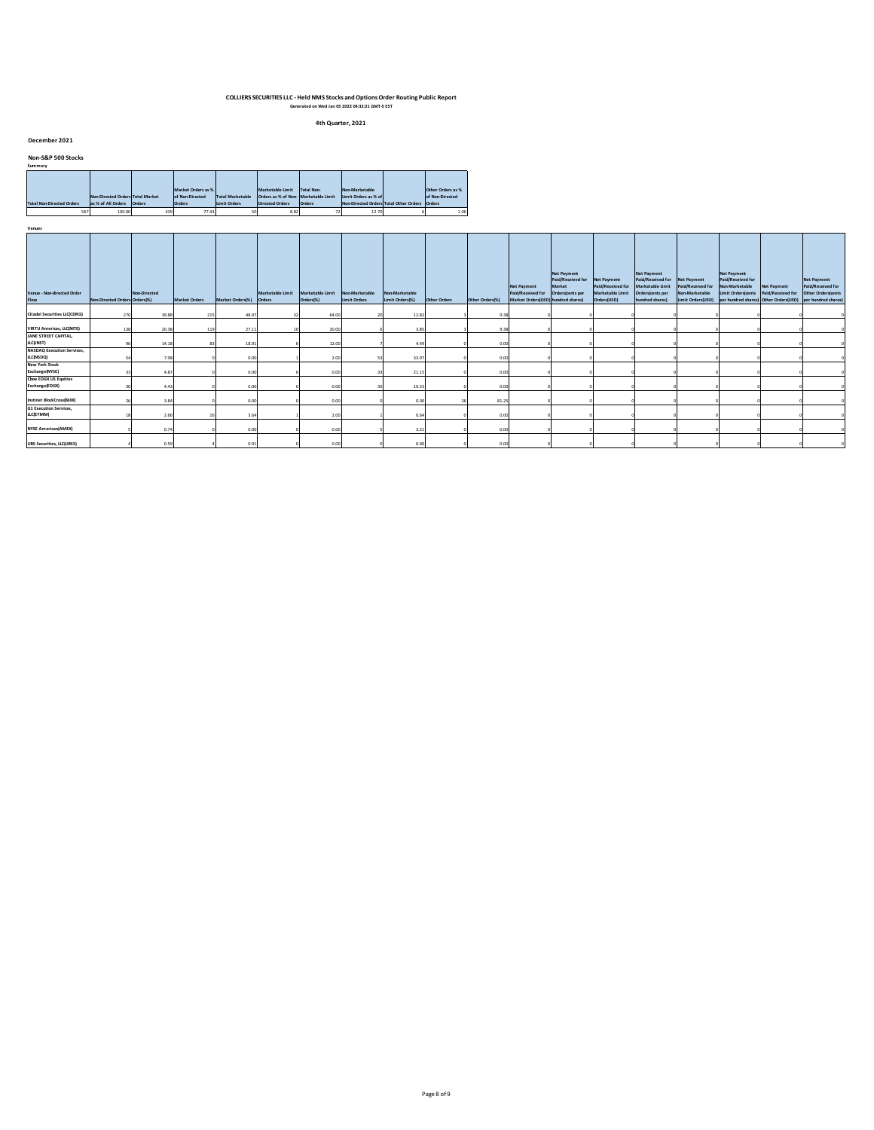**4th Quarter, 2021**

### **December 2021**

### **Non-S&P 500 Stocks Summary**

| summarv                          |                                               |     |                     |                         |                                     |            |                                               |  |                   |  |  |  |  |  |  |
|----------------------------------|-----------------------------------------------|-----|---------------------|-------------------------|-------------------------------------|------------|-----------------------------------------------|--|-------------------|--|--|--|--|--|--|
|                                  |                                               |     |                     |                         |                                     |            |                                               |  |                   |  |  |  |  |  |  |
|                                  |                                               |     |                     |                         |                                     |            |                                               |  |                   |  |  |  |  |  |  |
|                                  |                                               |     | Market Orders as %  |                         | Marketable Limit                    | Total Non- | Non-Marketable                                |  | Other Orders as % |  |  |  |  |  |  |
|                                  | Non-Directed Orders Total Market              |     | of Non-Directed     | <b>Total Marketable</b> | Orders as % of Non-Marketable Limit |            | Limit Orders as % of                          |  | of Non-Directed   |  |  |  |  |  |  |
| <b>Total Non-Directed Orders</b> | as % of All Orders<br>Orders<br><b>Orders</b> |     | <b>Limit Orders</b> | Directed Orders         | <b>Orders</b>                       |            | Non-Directed Orders Total Other Orders Orders |  |                   |  |  |  |  |  |  |
| 567                              | 100.00                                        | 439 | 77.43               |                         | 8.82                                |            | 12.70                                         |  | 1.06              |  |  |  |  |  |  |

| Venues |  |  |  |
|--------|--|--|--|
|        |  |  |  |

| venues                                         |                               |                     |                      |                         |                  |                               |                                |                                   |              |                 |                                                                                                |                                                               |                                                      |                                                                                                                |                                                          |                                                                                                   |                    |                                                                                                                            |
|------------------------------------------------|-------------------------------|---------------------|----------------------|-------------------------|------------------|-------------------------------|--------------------------------|-----------------------------------|--------------|-----------------|------------------------------------------------------------------------------------------------|---------------------------------------------------------------|------------------------------------------------------|----------------------------------------------------------------------------------------------------------------|----------------------------------------------------------|---------------------------------------------------------------------------------------------------|--------------------|----------------------------------------------------------------------------------------------------------------------------|
| Venue - Non-directed Order<br>Flow             | Non-Directed Orders Orders(%) | <b>Non-Directed</b> | <b>Market Orders</b> | Market Orders(%) Orders | Marketable Limit | Marketable Limit<br>Orders(%) | Non-Marketable<br>Limit Orders | Non-Marketable<br>Limit Orders(%) | Other Orders | Other Orders(%) | <b>Net Payment</b><br>Paid/Received for Orders(cents per<br>Market Orders(USD) hundred shares) | <b>Net Payment</b><br>Paid/Received for Net Payment<br>Market | Paid/Received for<br>Marketable Limit<br>Orders(USD) | <b>Net Payment</b><br>Paid/Received for Net Payment<br>Marketable Limit<br>Orders(cents per<br>hundred shares) | Paid/Received for<br>Non-Marketable<br>Limit Orders(USD) | <b>Net Payment</b><br>Paid/Received for<br>Non-Marketable<br>Limit Orders(cents Paid/Received for | <b>Net Payment</b> | <b>Net Payment</b><br>Paid/Received for<br>Other Orders(cents<br>per hundred shares) Other Orders(USD) per hundred shares) |
| <b>Citadel Securities LLC(CDRG)</b>            | 270                           | 39.88               | 215                  | 48.97                   |                  | 64.00                         |                                | 12.82                             |              | 9.38            |                                                                                                |                                                               |                                                      |                                                                                                                |                                                          |                                                                                                   |                    |                                                                                                                            |
| <b>VIRTU Americas, LLC(NITE)</b>               | 138                           | 20.38               | 119                  | 27.11                   |                  | 20.00                         |                                | 3.85                              |              | 9.38            |                                                                                                |                                                               |                                                      |                                                                                                                |                                                          |                                                                                                   |                    |                                                                                                                            |
| JANE STREET CAPITAL,<br>LLC(INST)              |                               | 14.18               |                      | 18.91                   |                  | 12.00                         |                                | 4.49                              |              | 0.00            |                                                                                                |                                                               |                                                      |                                                                                                                |                                                          |                                                                                                   |                    |                                                                                                                            |
| <b>NASDAQ Execution Services,</b><br>LLC(NSDQ) |                               | 7.98                |                      | 0.00                    |                  | 2.00                          |                                | 33.97                             |              | 0.00            |                                                                                                |                                                               |                                                      |                                                                                                                |                                                          |                                                                                                   |                    |                                                                                                                            |
| <b>New York Stock</b><br>Exchange(NYSE)        |                               | 4.87                |                      | 0.00                    |                  | 0.00                          |                                | 21.15                             |              | 0.00            |                                                                                                |                                                               |                                                      |                                                                                                                |                                                          |                                                                                                   |                    |                                                                                                                            |
| <b>Cboe EDGX US Equities</b><br>Exchange(EDGX) |                               | 4.43                |                      | 0.00                    |                  | 0.00                          |                                | 19.23                             |              | 0.00            |                                                                                                |                                                               |                                                      |                                                                                                                |                                                          |                                                                                                   |                    |                                                                                                                            |
| Instinet BlockCross(BLKX)                      |                               | 3.84                |                      | 0.00                    |                  | 0.00                          |                                | 0.00                              |              | 81.25           |                                                                                                |                                                               |                                                      |                                                                                                                |                                                          |                                                                                                   |                    |                                                                                                                            |
| <b>G1 Execution Services,</b><br>LLC(ETMM)     |                               | 2.66                |                      | 3.64                    |                  | 2.00                          |                                | 0.64                              |              | 0.00            |                                                                                                |                                                               |                                                      |                                                                                                                |                                                          |                                                                                                   |                    |                                                                                                                            |
| <b>NYSE American(AMEX)</b>                     |                               | 0.74                |                      | 0.00                    |                  | 0.00                          |                                | 3.21                              |              | 0.00            |                                                                                                |                                                               |                                                      |                                                                                                                |                                                          |                                                                                                   |                    |                                                                                                                            |
| <b>UBS Securities, LLC(UBSS)</b>               |                               | 0.59                |                      | 0.91                    |                  | 0.00                          |                                | 0.00                              |              | 0.00            |                                                                                                |                                                               |                                                      |                                                                                                                |                                                          |                                                                                                   |                    |                                                                                                                            |